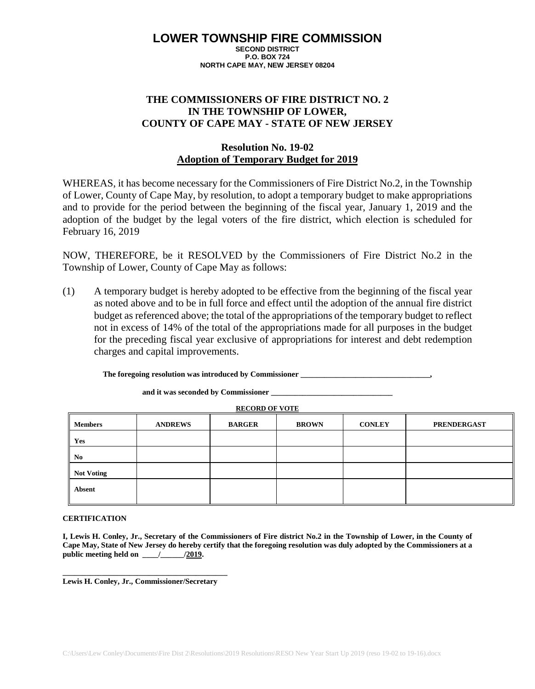#### **LOWER TOWNSHIP FIRE COMMISSION SECOND DISTRICT**

**P.O. BOX 724 NORTH CAPE MAY, NEW JERSEY 08204**

## **THE COMMISSIONERS OF FIRE DISTRICT NO. 2 IN THE TOWNSHIP OF LOWER, COUNTY OF CAPE MAY - STATE OF NEW JERSEY**

## **Resolution No. 19-02 Adoption of Temporary Budget for 2019**

WHEREAS, it has become necessary for the Commissioners of Fire District No.2, in the Township of Lower, County of Cape May, by resolution, to adopt a temporary budget to make appropriations and to provide for the period between the beginning of the fiscal year, January 1, 2019 and the adoption of the budget by the legal voters of the fire district, which election is scheduled for February 16, 2019

NOW, THEREFORE, be it RESOLVED by the Commissioners of Fire District No.2 in the Township of Lower, County of Cape May as follows:

(1) A temporary budget is hereby adopted to be effective from the beginning of the fiscal year as noted above and to be in full force and effect until the adoption of the annual fire district budget as referenced above; the total of the appropriations of the temporary budget to reflect not in excess of 14% of the total of the appropriations made for all purposes in the budget for the preceding fiscal year exclusive of appropriations for interest and debt redemption charges and capital improvements.

The foregoing resolution was introduced by Commissioner

**and it was seconded by Commissioner \_\_\_\_\_\_\_\_\_\_\_\_\_\_\_\_\_\_\_\_\_\_\_\_\_\_\_\_\_\_\_**

**RECORD OF VOTE**

| <b>Members</b>         | <b>ANDREWS</b> | <b>BARGER</b> | <b>BROWN</b> | <b>CONLEY</b> | <b>PRENDERGAST</b> |
|------------------------|----------------|---------------|--------------|---------------|--------------------|
| Yes                    |                |               |              |               |                    |
| I<br>No                |                |               |              |               |                    |
| Ш<br><b>Not Voting</b> |                |               |              |               |                    |
| Absent                 |                |               |              |               |                    |

### **CERTIFICATION**

**I, Lewis H. Conley, Jr., Secretary of the Commissioners of Fire district No.2 in the Township of Lower, in the County of Cape May, State of New Jersey do hereby certify that the foregoing resolution was duly adopted by the Commissioners at a**  public meeting held on \_\_\_\_\_/\_\_\_\_\_\_\_\_\_/2019.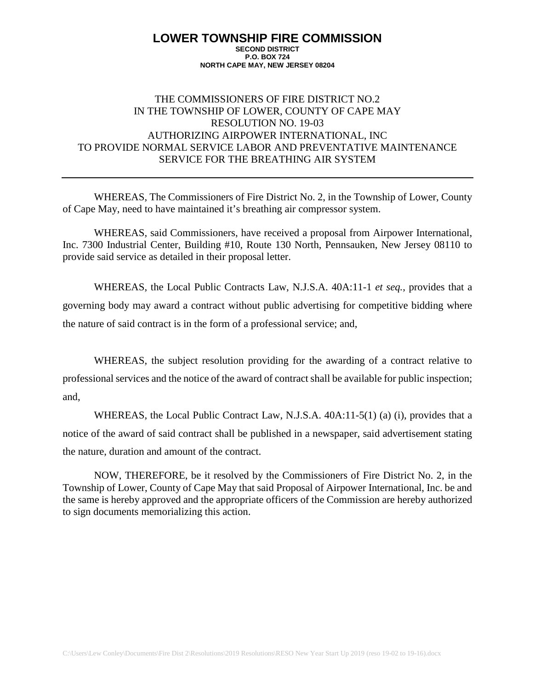## THE COMMISSIONERS OF FIRE DISTRICT NO.2 IN THE TOWNSHIP OF LOWER, COUNTY OF CAPE MAY RESOLUTION NO. 19-03 AUTHORIZING AIRPOWER INTERNATIONAL, INC TO PROVIDE NORMAL SERVICE LABOR AND PREVENTATIVE MAINTENANCE SERVICE FOR THE BREATHING AIR SYSTEM

WHEREAS, The Commissioners of Fire District No. 2, in the Township of Lower, County of Cape May, need to have maintained it's breathing air compressor system.

WHEREAS, said Commissioners, have received a proposal from Airpower International, Inc. 7300 Industrial Center, Building #10, Route 130 North, Pennsauken, New Jersey 08110 to provide said service as detailed in their proposal letter.

WHEREAS, the Local Public Contracts Law, N.J.S.A. 40A:11-1 *et seq.*, provides that a governing body may award a contract without public advertising for competitive bidding where the nature of said contract is in the form of a professional service; and,

WHEREAS, the subject resolution providing for the awarding of a contract relative to professional services and the notice of the award of contract shall be available for public inspection; and,

WHEREAS, the Local Public Contract Law, N.J.S.A. 40A:11-5(1) (a) (i), provides that a notice of the award of said contract shall be published in a newspaper, said advertisement stating the nature, duration and amount of the contract.

NOW, THEREFORE, be it resolved by the Commissioners of Fire District No. 2, in the Township of Lower, County of Cape May that said Proposal of Airpower International, Inc. be and the same is hereby approved and the appropriate officers of the Commission are hereby authorized to sign documents memorializing this action.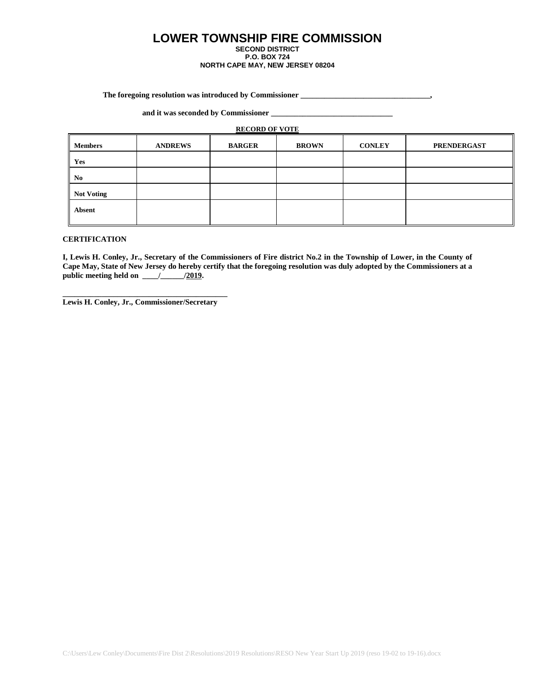#### **The foregoing resolution was introduced by Commissioner \_\_\_\_\_\_\_\_\_\_\_\_\_\_\_\_\_\_\_\_\_\_\_\_\_\_\_\_\_\_\_\_\_,**

**and it was seconded by Commissioner \_\_\_\_\_\_\_\_\_\_\_\_\_\_\_\_\_\_\_\_\_\_\_\_\_\_\_\_\_\_\_**

#### **RECORD OF VOTE**

| <b>Members</b>    | <b>ANDREWS</b> | <b>BARGER</b> | <b>BROWN</b> | <b>CONLEY</b> | <b>PRENDERGAST</b> |
|-------------------|----------------|---------------|--------------|---------------|--------------------|
| Yes               |                |               |              |               |                    |
| N <sub>0</sub>    |                |               |              |               |                    |
| <b>Not Voting</b> |                |               |              |               |                    |
| <b>Absent</b>     |                |               |              |               |                    |

#### **CERTIFICATION**

**I, Lewis H. Conley, Jr., Secretary of the Commissioners of Fire district No.2 in the Township of Lower, in the County of Cape May, State of New Jersey do hereby certify that the foregoing resolution was duly adopted by the Commissioners at a**  public meeting held on \_\_\_\_\_/\_\_\_\_\_\_\_\_\_\_/2019.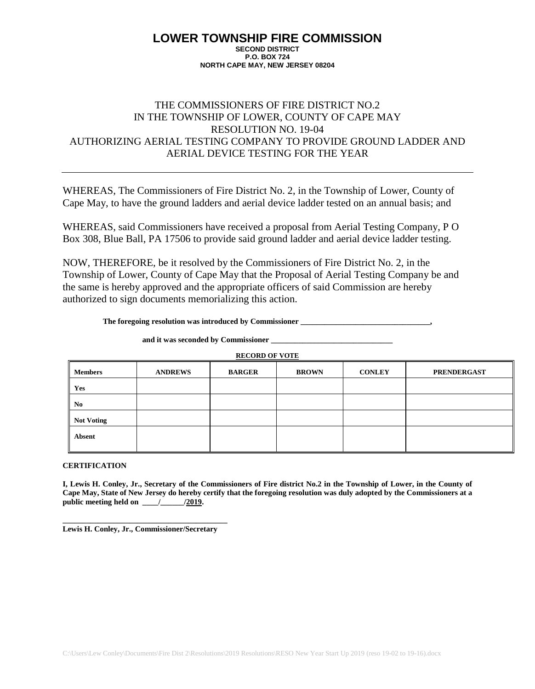# THE COMMISSIONERS OF FIRE DISTRICT NO.2 IN THE TOWNSHIP OF LOWER, COUNTY OF CAPE MAY RESOLUTION NO. 19-04 AUTHORIZING AERIAL TESTING COMPANY TO PROVIDE GROUND LADDER AND AERIAL DEVICE TESTING FOR THE YEAR

WHEREAS, The Commissioners of Fire District No. 2, in the Township of Lower, County of Cape May, to have the ground ladders and aerial device ladder tested on an annual basis; and

WHEREAS, said Commissioners have received a proposal from Aerial Testing Company, P O Box 308, Blue Ball, PA 17506 to provide said ground ladder and aerial device ladder testing.

NOW, THEREFORE, be it resolved by the Commissioners of Fire District No. 2, in the Township of Lower, County of Cape May that the Proposal of Aerial Testing Company be and the same is hereby approved and the appropriate officers of said Commission are hereby authorized to sign documents memorializing this action.

**The foregoing resolution was introduced by Commissioner \_\_\_\_\_\_\_\_\_\_\_\_\_\_\_\_\_\_\_\_\_\_\_\_\_\_\_\_\_\_\_\_\_,**

**and it was seconded by Commissioner \_\_\_\_\_\_\_\_\_\_\_\_\_\_\_\_\_\_\_\_\_\_\_\_\_\_\_\_\_\_\_**

**RECORD OF VOTE**

| <b>Members</b>    | <b>ANDREWS</b> | <b>BARGER</b> | <b>BROWN</b> | <b>CONLEY</b> | <b>PRENDERGAST</b> |
|-------------------|----------------|---------------|--------------|---------------|--------------------|
| Yes               |                |               |              |               |                    |
| No.               |                |               |              |               |                    |
| <b>Not Voting</b> |                |               |              |               |                    |
| <b>Absent</b>     |                |               |              |               |                    |

#### **CERTIFICATION**

**I, Lewis H. Conley, Jr., Secretary of the Commissioners of Fire district No.2 in the Township of Lower, in the County of Cape May, State of New Jersey do hereby certify that the foregoing resolution was duly adopted by the Commissioners at a public meeting held on \_\_\_\_/\_\_\_\_\_\_/2019.**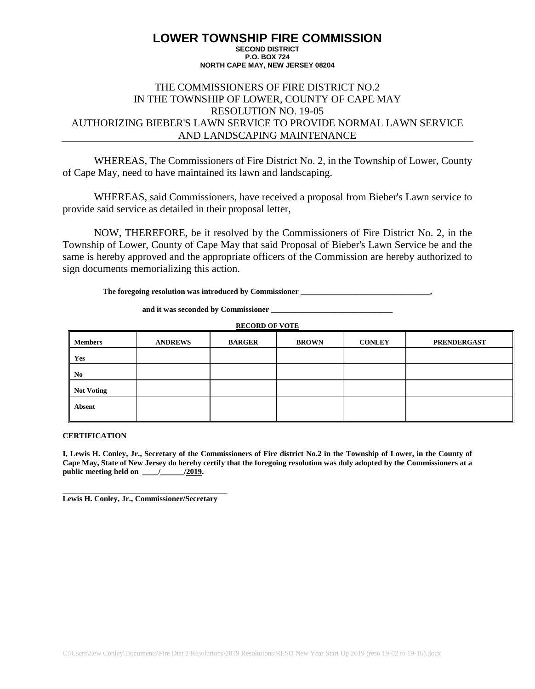## THE COMMISSIONERS OF FIRE DISTRICT NO.2 IN THE TOWNSHIP OF LOWER, COUNTY OF CAPE MAY RESOLUTION NO. 19-05 AUTHORIZING BIEBER'S LAWN SERVICE TO PROVIDE NORMAL LAWN SERVICE AND LANDSCAPING MAINTENANCE

WHEREAS, The Commissioners of Fire District No. 2, in the Township of Lower, County of Cape May, need to have maintained its lawn and landscaping.

WHEREAS, said Commissioners, have received a proposal from Bieber's Lawn service to provide said service as detailed in their proposal letter,

NOW, THEREFORE, be it resolved by the Commissioners of Fire District No. 2, in the Township of Lower, County of Cape May that said Proposal of Bieber's Lawn Service be and the same is hereby approved and the appropriate officers of the Commission are hereby authorized to sign documents memorializing this action.

**The foregoing resolution was introduced by Commissioner \_\_\_\_\_\_\_\_\_\_\_\_\_\_\_\_\_\_\_\_\_\_\_\_\_\_\_\_\_\_\_\_\_,**

**and it was seconded by Commissioner \_\_\_\_\_\_\_\_\_\_\_\_\_\_\_\_\_\_\_\_\_\_\_\_\_\_\_\_\_\_\_**

| <b>RECORD OF VOTE</b> |                |               |              |               |                    |  |  |
|-----------------------|----------------|---------------|--------------|---------------|--------------------|--|--|
| <b>Members</b>        | <b>ANDREWS</b> | <b>BARGER</b> | <b>BROWN</b> | <b>CONLEY</b> | <b>PRENDERGAST</b> |  |  |
| Yes                   |                |               |              |               |                    |  |  |
| No                    |                |               |              |               |                    |  |  |
| <b>Not Voting</b>     |                |               |              |               |                    |  |  |
| Absent                |                |               |              |               |                    |  |  |
|                       |                |               |              |               |                    |  |  |

**CERTIFICATION**

**I, Lewis H. Conley, Jr., Secretary of the Commissioners of Fire district No.2 in the Township of Lower, in the County of Cape May, State of New Jersey do hereby certify that the foregoing resolution was duly adopted by the Commissioners at a public meeting held on \_\_\_\_/\_\_\_\_\_\_/2019.**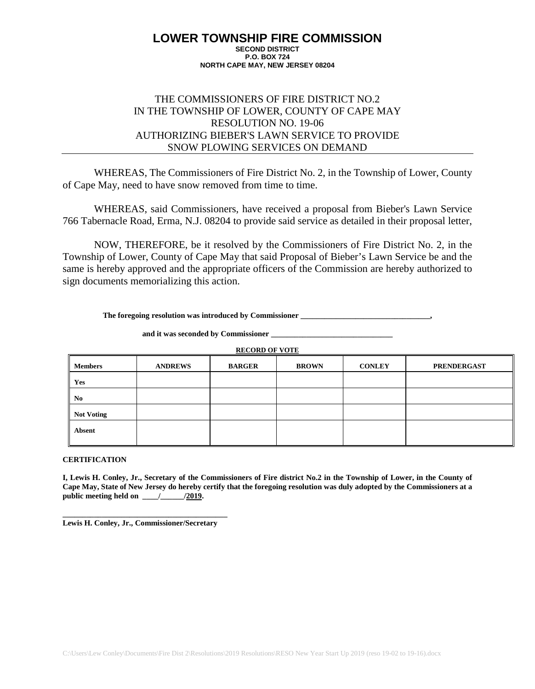## THE COMMISSIONERS OF FIRE DISTRICT NO.2 IN THE TOWNSHIP OF LOWER, COUNTY OF CAPE MAY RESOLUTION NO. 19-06 AUTHORIZING BIEBER'S LAWN SERVICE TO PROVIDE SNOW PLOWING SERVICES ON DEMAND

WHEREAS, The Commissioners of Fire District No. 2, in the Township of Lower, County of Cape May, need to have snow removed from time to time.

WHEREAS, said Commissioners, have received a proposal from Bieber's Lawn Service 766 Tabernacle Road, Erma, N.J. 08204 to provide said service as detailed in their proposal letter,

NOW, THEREFORE, be it resolved by the Commissioners of Fire District No. 2, in the Township of Lower, County of Cape May that said Proposal of Bieber's Lawn Service be and the same is hereby approved and the appropriate officers of the Commission are hereby authorized to sign documents memorializing this action.

**The foregoing resolution was introduced by Commissioner \_\_\_\_\_\_\_\_\_\_\_\_\_\_\_\_\_\_\_\_\_\_\_\_\_\_\_\_\_\_\_\_\_,**

and it was seconded by Commissioner

**RECORD OF VOTE**

| <b>Members</b>    | <b>ANDREWS</b> | <b>BARGER</b> | <b>BROWN</b> | <b>CONLEY</b> | <b>PRENDERGAST</b> |
|-------------------|----------------|---------------|--------------|---------------|--------------------|
| Yes               |                |               |              |               |                    |
| N <sub>0</sub>    |                |               |              |               |                    |
| <b>Not Voting</b> |                |               |              |               |                    |
| Absent            |                |               |              |               |                    |

### **CERTIFICATION**

**I, Lewis H. Conley, Jr., Secretary of the Commissioners of Fire district No.2 in the Township of Lower, in the County of Cape May, State of New Jersey do hereby certify that the foregoing resolution was duly adopted by the Commissioners at a public meeting held on \_\_\_\_/\_\_\_\_\_\_/2019.**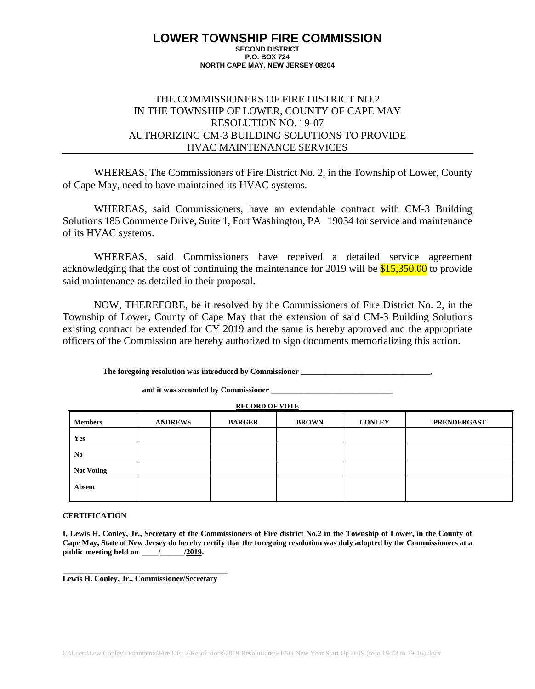## THE COMMISSIONERS OF FIRE DISTRICT NO.2 IN THE TOWNSHIP OF LOWER, COUNTY OF CAPE MAY RESOLUTION NO. 19-07 AUTHORIZING CM-3 BUILDING SOLUTIONS TO PROVIDE HVAC MAINTENANCE SERVICES

WHEREAS, The Commissioners of Fire District No. 2, in the Township of Lower, County of Cape May, need to have maintained its HVAC systems.

WHEREAS, said Commissioners, have an extendable contract with CM-3 Building Solutions 185 Commerce Drive, Suite 1, Fort Washington, PA 19034 for service and maintenance of its HVAC systems.

WHEREAS, said Commissioners have received a detailed service agreement acknowledging that the cost of continuing the maintenance for 2019 will be  $$15,350.00$  to provide said maintenance as detailed in their proposal.

NOW, THEREFORE, be it resolved by the Commissioners of Fire District No. 2, in the Township of Lower, County of Cape May that the extension of said CM-3 Building Solutions existing contract be extended for CY 2019 and the same is hereby approved and the appropriate officers of the Commission are hereby authorized to sign documents memorializing this action.

**The foregoing resolution was introduced by Commissioner \_\_\_\_\_\_\_\_\_\_\_\_\_\_\_\_\_\_\_\_\_\_\_\_\_\_\_\_\_\_\_\_\_,**

and it was seconded by Commissioner

**RECORD OF VOTE**

| <b>Members</b>    | <b>ANDREWS</b> | <b>BARGER</b> | <b>BROWN</b> | <b>CONLEY</b> | <b>PRENDERGAST</b> |
|-------------------|----------------|---------------|--------------|---------------|--------------------|
| Yes               |                |               |              |               |                    |
| No                |                |               |              |               |                    |
| <b>Not Voting</b> |                |               |              |               |                    |
| Absent            |                |               |              |               |                    |

### **CERTIFICATION**

**I, Lewis H. Conley, Jr., Secretary of the Commissioners of Fire district No.2 in the Township of Lower, in the County of Cape May, State of New Jersey do hereby certify that the foregoing resolution was duly adopted by the Commissioners at a**  public meeting held on \_\_\_\_\_/\_\_\_\_\_\_\_\_\_\_/2019.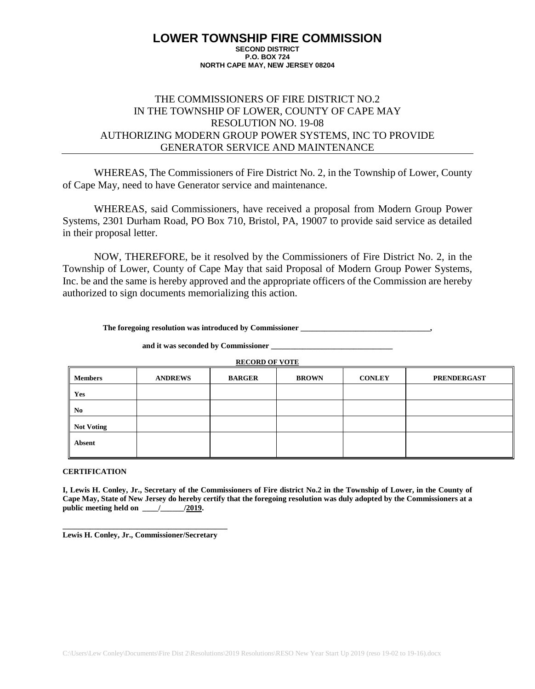## THE COMMISSIONERS OF FIRE DISTRICT NO.2 IN THE TOWNSHIP OF LOWER, COUNTY OF CAPE MAY RESOLUTION NO. 19-08 AUTHORIZING MODERN GROUP POWER SYSTEMS, INC TO PROVIDE GENERATOR SERVICE AND MAINTENANCE

WHEREAS, The Commissioners of Fire District No. 2, in the Township of Lower, County of Cape May, need to have Generator service and maintenance.

WHEREAS, said Commissioners, have received a proposal from Modern Group Power Systems, 2301 Durham Road, PO Box 710, Bristol, PA, 19007 to provide said service as detailed in their proposal letter.

NOW, THEREFORE, be it resolved by the Commissioners of Fire District No. 2, in the Township of Lower, County of Cape May that said Proposal of Modern Group Power Systems, Inc. be and the same is hereby approved and the appropriate officers of the Commission are hereby authorized to sign documents memorializing this action.

**The foregoing resolution was introduced by Commissioner \_\_\_\_\_\_\_\_\_\_\_\_\_\_\_\_\_\_\_\_\_\_\_\_\_\_\_\_\_\_\_\_\_,**

**and it was seconded by Commissioner \_\_\_\_\_\_\_\_\_\_\_\_\_\_\_\_\_\_\_\_\_\_\_\_\_\_\_\_\_\_\_**

**RECORD OF VOTE**

| <b>Members</b>    | <b>ANDREWS</b> | <b>BARGER</b> | <b>BROWN</b> | <b>CONLEY</b> | <b>PRENDERGAST</b> |
|-------------------|----------------|---------------|--------------|---------------|--------------------|
| Yes               |                |               |              |               |                    |
| No                |                |               |              |               |                    |
| <b>Not Voting</b> |                |               |              |               |                    |
| <b>Absent</b>     |                |               |              |               |                    |

#### **CERTIFICATION**

**I, Lewis H. Conley, Jr., Secretary of the Commissioners of Fire district No.2 in the Township of Lower, in the County of Cape May, State of New Jersey do hereby certify that the foregoing resolution was duly adopted by the Commissioners at a**  public meeting held on  $\qquad$  /  $/2019$ .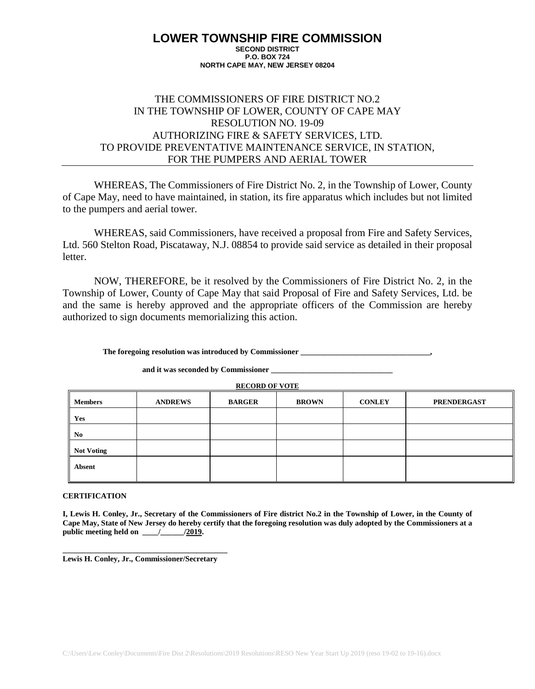## THE COMMISSIONERS OF FIRE DISTRICT NO.2 IN THE TOWNSHIP OF LOWER, COUNTY OF CAPE MAY RESOLUTION NO. 19-09 AUTHORIZING FIRE & SAFETY SERVICES, LTD. TO PROVIDE PREVENTATIVE MAINTENANCE SERVICE, IN STATION, FOR THE PUMPERS AND AERIAL TOWER

WHEREAS, The Commissioners of Fire District No. 2, in the Township of Lower, County of Cape May, need to have maintained, in station, its fire apparatus which includes but not limited to the pumpers and aerial tower.

WHEREAS, said Commissioners, have received a proposal from Fire and Safety Services, Ltd. 560 Stelton Road, Piscataway, N.J. 08854 to provide said service as detailed in their proposal letter.

NOW, THEREFORE, be it resolved by the Commissioners of Fire District No. 2, in the Township of Lower, County of Cape May that said Proposal of Fire and Safety Services, Ltd. be and the same is hereby approved and the appropriate officers of the Commission are hereby authorized to sign documents memorializing this action.

The foregoing resolution was introduced by Commissioner

|                   | <b>RECORD OF VOTE</b> |               |              |               |                    |  |  |  |  |
|-------------------|-----------------------|---------------|--------------|---------------|--------------------|--|--|--|--|
| <b>Members</b>    | <b>ANDREWS</b>        | <b>BARGER</b> | <b>BROWN</b> | <b>CONLEY</b> | <b>PRENDERGAST</b> |  |  |  |  |
| Yes               |                       |               |              |               |                    |  |  |  |  |
| No                |                       |               |              |               |                    |  |  |  |  |
| <b>Not Voting</b> |                       |               |              |               |                    |  |  |  |  |
| <b>Absent</b>     |                       |               |              |               |                    |  |  |  |  |

**and it was seconded by Commissioner \_\_\_\_\_\_\_\_\_\_\_\_\_\_\_\_\_\_\_\_\_\_\_\_\_\_\_\_\_\_\_**

#### **CERTIFICATION**

**I, Lewis H. Conley, Jr., Secretary of the Commissioners of Fire district No.2 in the Township of Lower, in the County of Cape May, State of New Jersey do hereby certify that the foregoing resolution was duly adopted by the Commissioners at a public meeting held on \_\_\_\_/\_\_\_\_\_\_/2019.**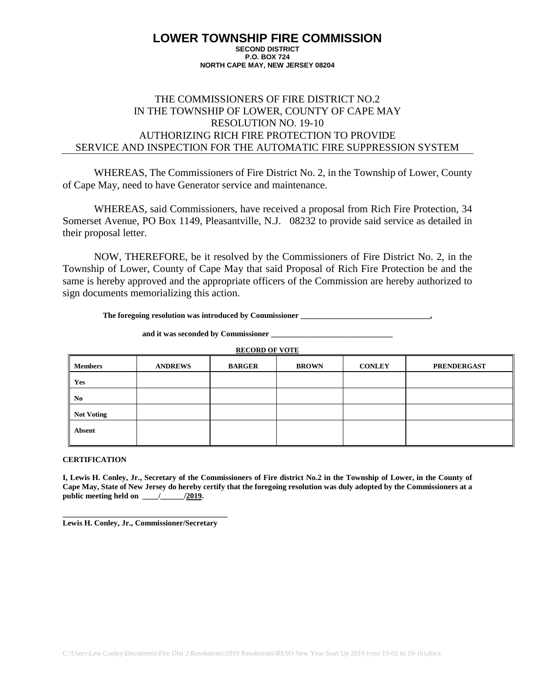# THE COMMISSIONERS OF FIRE DISTRICT NO.2 IN THE TOWNSHIP OF LOWER, COUNTY OF CAPE MAY RESOLUTION NO. 19-10 AUTHORIZING RICH FIRE PROTECTION TO PROVIDE SERVICE AND INSPECTION FOR THE AUTOMATIC FIRE SUPPRESSION SYSTEM

WHEREAS, The Commissioners of Fire District No. 2, in the Township of Lower, County of Cape May, need to have Generator service and maintenance.

WHEREAS, said Commissioners, have received a proposal from Rich Fire Protection, 34 Somerset Avenue, PO Box 1149, Pleasantville, N.J. 08232 to provide said service as detailed in their proposal letter.

NOW, THEREFORE, be it resolved by the Commissioners of Fire District No. 2, in the Township of Lower, County of Cape May that said Proposal of Rich Fire Protection be and the same is hereby approved and the appropriate officers of the Commission are hereby authorized to sign documents memorializing this action.

**The foregoing resolution was introduced by Commissioner \_\_\_\_\_\_\_\_\_\_\_\_\_\_\_\_\_\_\_\_\_\_\_\_\_\_\_\_\_\_\_\_\_,**

and it was seconded by Commissioner

**RECORD OF VOTE**

| <b>Members</b> | <b>ANDREWS</b> | <b>BARGER</b> | <b>BROWN</b> | <b>CONLEY</b> | <b>PRENDERGAST</b> |
|----------------|----------------|---------------|--------------|---------------|--------------------|
| Yes            |                |               |              |               |                    |
| $\ $ No        |                |               |              |               |                    |
| Not Voting     |                |               |              |               |                    |
| Absent         |                |               |              |               |                    |

### **CERTIFICATION**

**I, Lewis H. Conley, Jr., Secretary of the Commissioners of Fire district No.2 in the Township of Lower, in the County of Cape May, State of New Jersey do hereby certify that the foregoing resolution was duly adopted by the Commissioners at a public meeting held on \_\_\_\_/\_\_\_\_\_\_/2019.**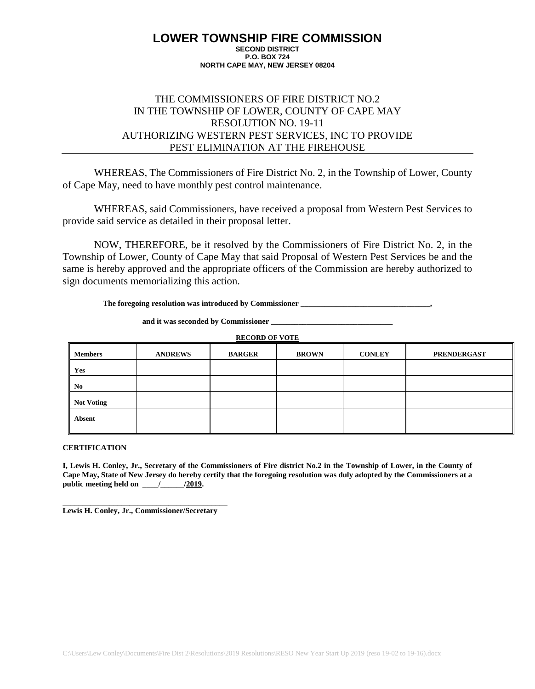## THE COMMISSIONERS OF FIRE DISTRICT NO.2 IN THE TOWNSHIP OF LOWER, COUNTY OF CAPE MAY RESOLUTION NO. 19-11 AUTHORIZING WESTERN PEST SERVICES, INC TO PROVIDE PEST ELIMINATION AT THE FIREHOUSE

WHEREAS, The Commissioners of Fire District No. 2, in the Township of Lower, County of Cape May, need to have monthly pest control maintenance.

WHEREAS, said Commissioners, have received a proposal from Western Pest Services to provide said service as detailed in their proposal letter.

NOW, THEREFORE, be it resolved by the Commissioners of Fire District No. 2, in the Township of Lower, County of Cape May that said Proposal of Western Pest Services be and the same is hereby approved and the appropriate officers of the Commission are hereby authorized to sign documents memorializing this action.

The foregoing resolution was introduced by Commissioner

**RECORD OF VOTE**

**and it was seconded by Commissioner \_\_\_\_\_\_\_\_\_\_\_\_\_\_\_\_\_\_\_\_\_\_\_\_\_\_\_\_\_\_\_**

| <b>Members</b>    | <b>ANDREWS</b> | <b>BARGER</b> | <b>BROWN</b> | <b>CONLEY</b> | <b>PRENDERGAST</b> |
|-------------------|----------------|---------------|--------------|---------------|--------------------|
| Yes               |                |               |              |               |                    |
| N <sub>0</sub>    |                |               |              |               |                    |
| <b>Not Voting</b> |                |               |              |               |                    |
| Absent            |                |               |              |               |                    |

**CERTIFICATION**

**I, Lewis H. Conley, Jr., Secretary of the Commissioners of Fire district No.2 in the Township of Lower, in the County of Cape May, State of New Jersey do hereby certify that the foregoing resolution was duly adopted by the Commissioners at a**  public meeting held on \_\_\_\_\_/\_\_\_\_\_\_\_\_\_/2019.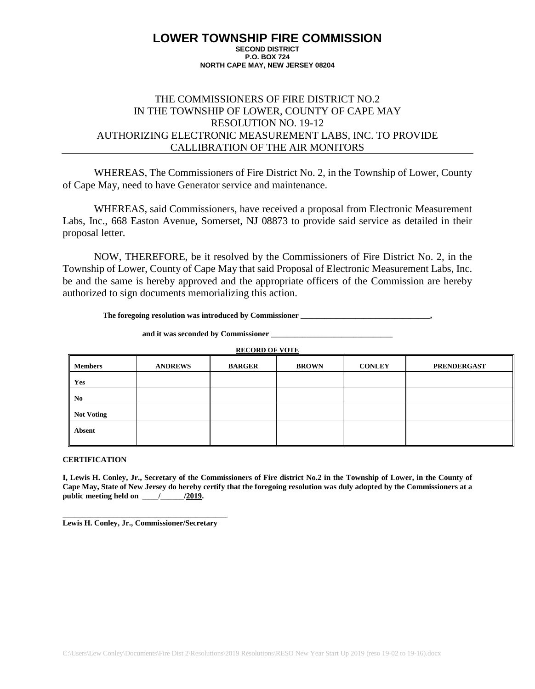## THE COMMISSIONERS OF FIRE DISTRICT NO.2 IN THE TOWNSHIP OF LOWER, COUNTY OF CAPE MAY RESOLUTION NO. 19-12 AUTHORIZING ELECTRONIC MEASUREMENT LABS, INC. TO PROVIDE CALLIBRATION OF THE AIR MONITORS

WHEREAS, The Commissioners of Fire District No. 2, in the Township of Lower, County of Cape May, need to have Generator service and maintenance.

WHEREAS, said Commissioners, have received a proposal from Electronic Measurement Labs, Inc., 668 Easton Avenue, Somerset, NJ 08873 to provide said service as detailed in their proposal letter.

NOW, THEREFORE, be it resolved by the Commissioners of Fire District No. 2, in the Township of Lower, County of Cape May that said Proposal of Electronic Measurement Labs, Inc. be and the same is hereby approved and the appropriate officers of the Commission are hereby authorized to sign documents memorializing this action.

**The foregoing resolution was introduced by Commissioner \_\_\_\_\_\_\_\_\_\_\_\_\_\_\_\_\_\_\_\_\_\_\_\_\_\_\_\_\_\_\_\_\_,**

and it was seconded by Commissioner

**RECORD OF VOTE**

| <b>Members</b> | <b>ANDREWS</b> | <b>BARGER</b> | <b>BROWN</b> | <b>CONLEY</b> | <b>PRENDERGAST</b> |
|----------------|----------------|---------------|--------------|---------------|--------------------|
| Yes            |                |               |              |               |                    |
| $\ $ No        |                |               |              |               |                    |
| Not Voting     |                |               |              |               |                    |
| Absent         |                |               |              |               |                    |

### **CERTIFICATION**

**I, Lewis H. Conley, Jr., Secretary of the Commissioners of Fire district No.2 in the Township of Lower, in the County of Cape May, State of New Jersey do hereby certify that the foregoing resolution was duly adopted by the Commissioners at a public meeting held on \_\_\_\_/\_\_\_\_\_\_/2019.**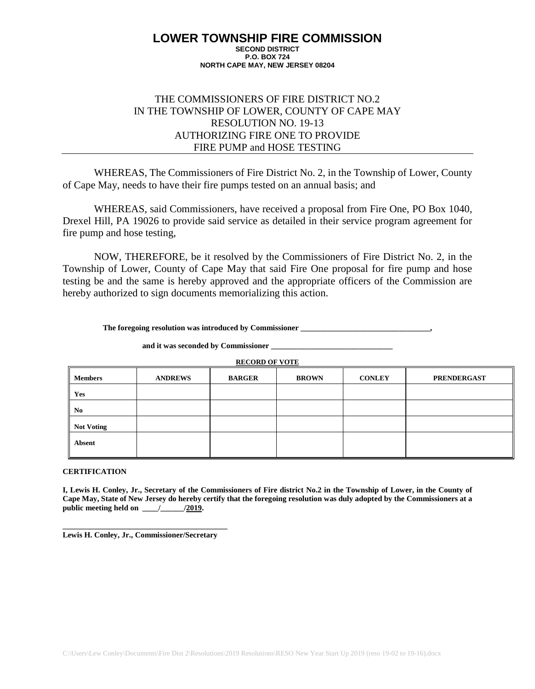## THE COMMISSIONERS OF FIRE DISTRICT NO.2 IN THE TOWNSHIP OF LOWER, COUNTY OF CAPE MAY RESOLUTION NO. 19-13 AUTHORIZING FIRE ONE TO PROVIDE FIRE PUMP and HOSE TESTING

WHEREAS, The Commissioners of Fire District No. 2, in the Township of Lower, County of Cape May, needs to have their fire pumps tested on an annual basis; and

WHEREAS, said Commissioners, have received a proposal from Fire One, PO Box 1040, Drexel Hill, PA 19026 to provide said service as detailed in their service program agreement for fire pump and hose testing,

NOW, THEREFORE, be it resolved by the Commissioners of Fire District No. 2, in the Township of Lower, County of Cape May that said Fire One proposal for fire pump and hose testing be and the same is hereby approved and the appropriate officers of the Commission are hereby authorized to sign documents memorializing this action.

The foregoing resolution was introduced by Commissioner

**and it was seconded by Commissioner \_\_\_\_\_\_\_\_\_\_\_\_\_\_\_\_\_\_\_\_\_\_\_\_\_\_\_\_\_\_\_**

**RECORD OF VOTE**

| <b>Members</b>          | <b>ANDREWS</b> | <b>BARGER</b> | <b>BROWN</b> | <b>CONLEY</b> | <b>PRENDERGAST</b> |
|-------------------------|----------------|---------------|--------------|---------------|--------------------|
| Yes                     |                |               |              |               |                    |
| I<br>No                 |                |               |              |               |                    |
| <b>Not Voting</b><br>Ш. |                |               |              |               |                    |
| Absent                  |                |               |              |               |                    |

#### **CERTIFICATION**

**I, Lewis H. Conley, Jr., Secretary of the Commissioners of Fire district No.2 in the Township of Lower, in the County of Cape May, State of New Jersey do hereby certify that the foregoing resolution was duly adopted by the Commissioners at a**  public meeting held on  $\qquad$  /  $/2019$ .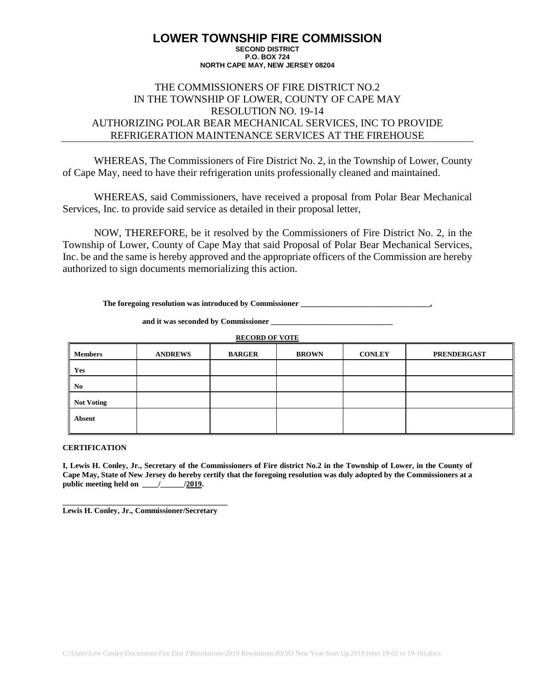## THE COMMISSIONERS OF FIRE DISTRICT NO.2 IN THE TOWNSHIP OF LOWER, COUNTY OF CAPE MAY RESOLUTION NO. 19-14 AUTHORIZING POLAR BEAR MECHANICAL SERVICES, INC TO PROVIDE REFRIGERATION MAINTENANCE SERVICES AT THE FIREHOUSE

WHEREAS, The Commissioners of Fire District No. 2, in the Township of Lower, County of Cape May, need to have their refrigeration units professionally cleaned and maintained.

WHEREAS, said Commissioners, have received a proposal from Polar Bear Mechanical Services, Inc. to provide said service as detailed in their proposal letter,

NOW, THEREFORE, be it resolved by the Commissioners of Fire District No. 2, in the Township of Lower, County of Cape May that said Proposal of Polar Bear Mechanical Services, Inc. be and the same is hereby approved and the appropriate officers of the Commission are hereby authorized to sign documents memorializing this action.

The foregoing resolution was introduced by Commissioner

**RECORD OF VOTE**

and it was seconded by Commissioner

| <b>Members</b>         | <b>ANDREWS</b> | <b>BARGER</b> | <b>BROWN</b> | <b>CONLEY</b> | <b>PRENDERGAST</b> |
|------------------------|----------------|---------------|--------------|---------------|--------------------|
| Yes                    |                |               |              |               |                    |
| II<br>No               |                |               |              |               |                    |
| Ш<br><b>Not Voting</b> |                |               |              |               |                    |
| Absent                 |                |               |              |               |                    |

**CERTIFICATION**

**I, Lewis H. Conley, Jr., Secretary of the Commissioners of Fire district No.2 in the Township of Lower, in the County of Cape May, State of New Jersey do hereby certify that the foregoing resolution was duly adopted by the Commissioners at a**  public meeting held on \_\_\_\_\_/\_\_\_\_\_\_\_\_\_/2019.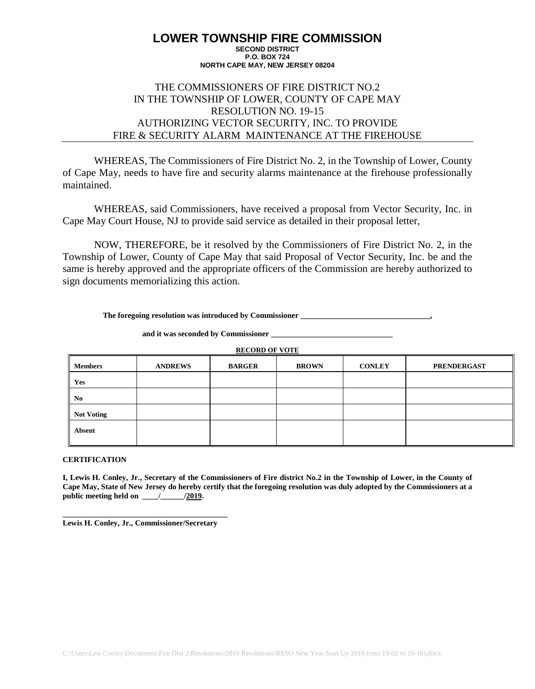## THE COMMISSIONERS OF FIRE DISTRICT NO.2 IN THE TOWNSHIP OF LOWER, COUNTY OF CAPE MAY RESOLUTION NO. 19-15 AUTHORIZING VECTOR SECURITY, INC. TO PROVIDE FIRE & SECURITY ALARM MAINTENANCE AT THE FIREHOUSE

WHEREAS, The Commissioners of Fire District No. 2, in the Township of Lower, County of Cape May, needs to have fire and security alarms maintenance at the firehouse professionally maintained.

WHEREAS, said Commissioners, have received a proposal from Vector Security, Inc. in Cape May Court House, NJ to provide said service as detailed in their proposal letter,

NOW, THEREFORE, be it resolved by the Commissioners of Fire District No. 2, in the Township of Lower, County of Cape May that said Proposal of Vector Security, Inc. be and the same is hereby approved and the appropriate officers of the Commission are hereby authorized to sign documents memorializing this action.

**The foregoing resolution was introduced by Commissioner \_\_\_\_\_\_\_\_\_\_\_\_\_\_\_\_\_\_\_\_\_\_\_\_\_\_\_\_\_\_\_\_\_,**

and it was seconded by Commissioner

**RECORD OF VOTE**

| <b>Members</b>         | <b>ANDREWS</b> | <b>BARGER</b> | <b>BROWN</b> | <b>CONLEY</b> | <b>PRENDERGAST</b> |
|------------------------|----------------|---------------|--------------|---------------|--------------------|
| Yes                    |                |               |              |               |                    |
| I<br>No                |                |               |              |               |                    |
| <b>Not Voting</b><br>Ш |                |               |              |               |                    |
| Absent                 |                |               |              |               |                    |

### **CERTIFICATION**

**I, Lewis H. Conley, Jr., Secretary of the Commissioners of Fire district No.2 in the Township of Lower, in the County of Cape May, State of New Jersey do hereby certify that the foregoing resolution was duly adopted by the Commissioners at a public meeting held on \_\_\_\_/\_\_\_\_\_\_/2019.**